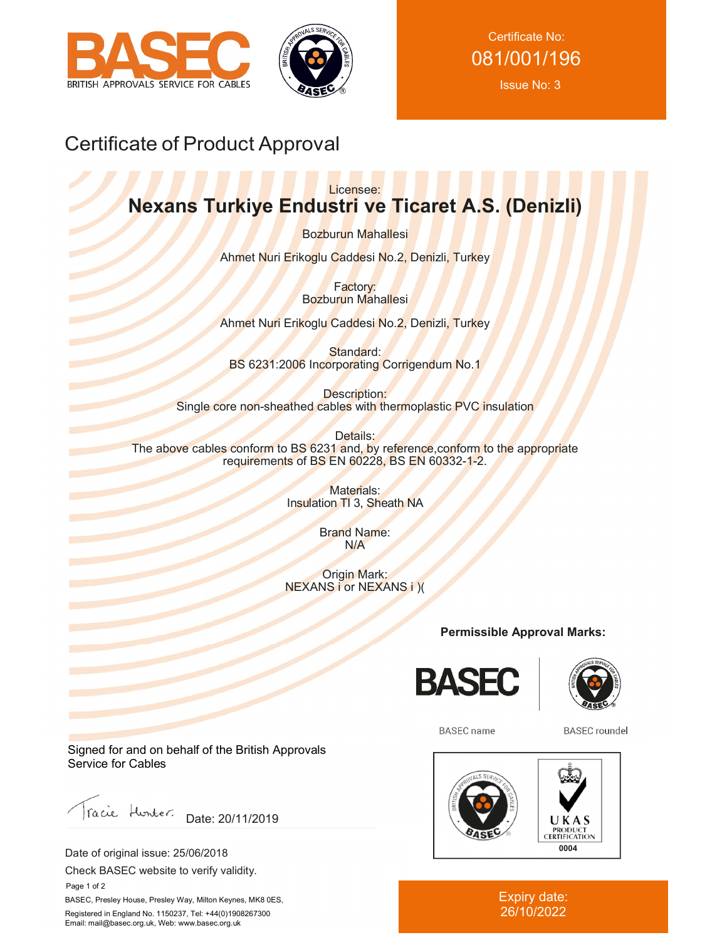



Certificate No: 081/001/196 Issue No: 3

# Certificate of Product Approval

## Licensee: **Nexans Turkiye Endustri ve Ticaret A.S. (Denizli)**

Bozburun Mahallesi

Ahmet Nuri Erikoglu Caddesi No.2, Denizli, Turkey

Factory: Bozburun Mahallesi

Ahmet Nuri Erikoglu Caddesi No.2, Denizli, Turkey

Standard: BS 6231:2006 Incorporating Corrigendum No.1

Description: Single core non-sheathed cables with thermoplastic PVC insulation

Details: The above cables conform to BS 6231 and, by reference,conform to the appropriate requirements of BS EN 60228, BS EN 60332-1-2.

> Materials: Insulation TI 3, Sheath NA

> > Brand Name: N/A

Origin Mark: NEXANS i or NEXANS i )(

**Permissible Approval Marks:**





**BASEC** name

**BASEC** roundel



### Expiry date: 26/10/2022

Signed for and on behalf of the British Approvals Service for Cables

Facie Hunter. Date: 20/11/2019

Date of original issue: 25/06/2018

Check BASEC website to verify validity.

 Page 1 of 2 BASEC, Presley House, Presley Way, Milton Keynes, MK8 0ES, Registered in England No. 1150237, Tel: +44(0)1908267300 Email: mail@basec.org.uk, Web: www.basec.org.uk